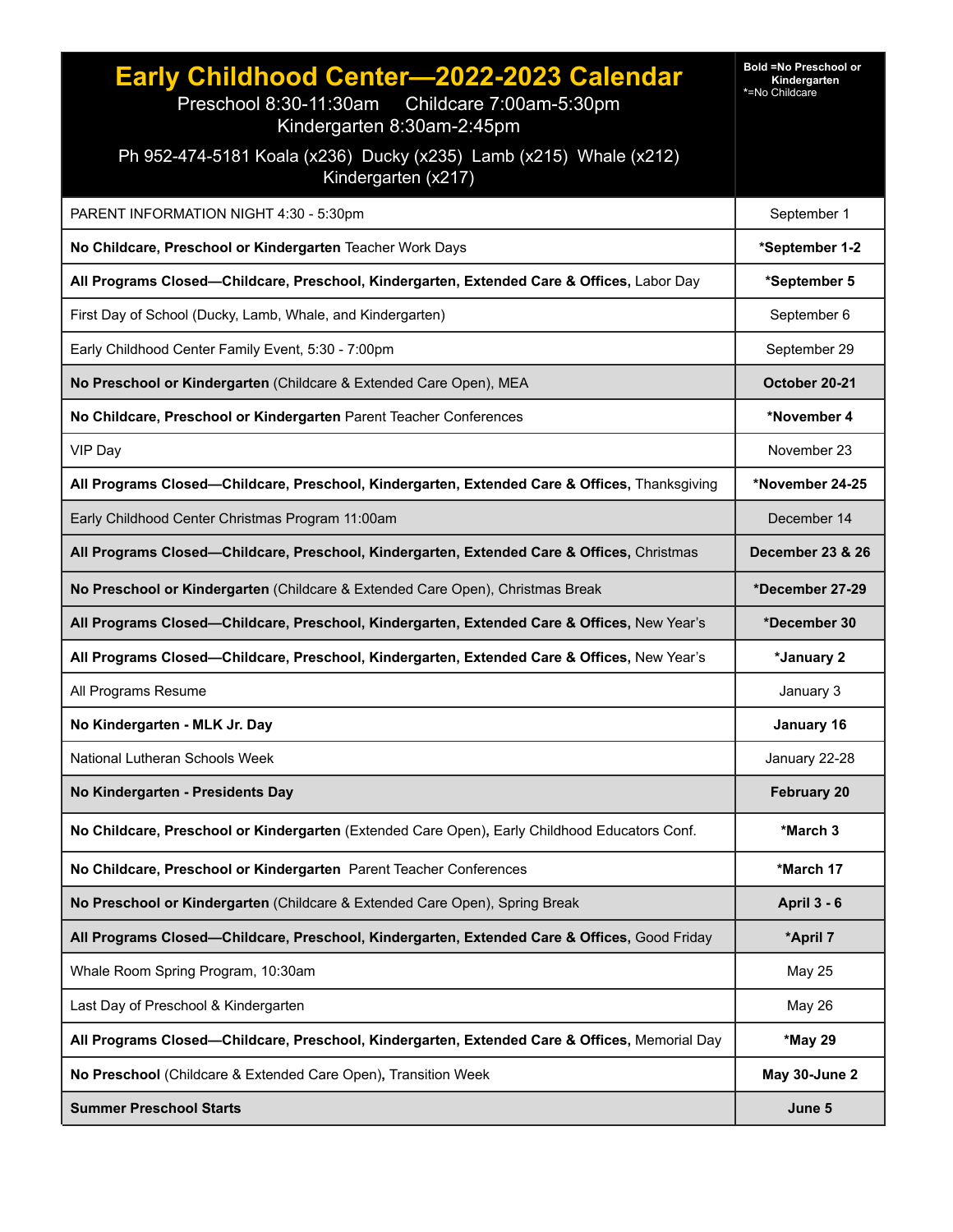| Early Childhood Center-2022-2023 Calendar<br>Preschool 8:30-11:30am Childcare 7:00am-5:30pm<br>Kindergarten 8:30am-2:45pm<br>Ph 952-474-5181 Koala (x236) Ducky (x235) Lamb (x215) Whale (x212)<br>Kindergarten (x217) | <b>Bold =No Preschool or</b><br>Kindergarten<br>*=No Childcare |
|------------------------------------------------------------------------------------------------------------------------------------------------------------------------------------------------------------------------|----------------------------------------------------------------|
| PARENT INFORMATION NIGHT 4:30 - 5:30pm                                                                                                                                                                                 | September 1                                                    |
| No Childcare, Preschool or Kindergarten Teacher Work Days                                                                                                                                                              | *September 1-2                                                 |
| All Programs Closed—Childcare, Preschool, Kindergarten, Extended Care & Offices, Labor Day                                                                                                                             | *September 5                                                   |
| First Day of School (Ducky, Lamb, Whale, and Kindergarten)                                                                                                                                                             | September 6                                                    |
| Early Childhood Center Family Event, 5:30 - 7:00pm                                                                                                                                                                     | September 29                                                   |
| No Preschool or Kindergarten (Childcare & Extended Care Open), MEA                                                                                                                                                     | October 20-21                                                  |
| No Childcare, Preschool or Kindergarten Parent Teacher Conferences                                                                                                                                                     | *November 4                                                    |
| VIP Day                                                                                                                                                                                                                | November 23                                                    |
| All Programs Closed-Childcare, Preschool, Kindergarten, Extended Care & Offices, Thanksgiving                                                                                                                          | *November 24-25                                                |
| Early Childhood Center Christmas Program 11:00am                                                                                                                                                                       | December 14                                                    |
| All Programs Closed—Childcare, Preschool, Kindergarten, Extended Care & Offices, Christmas                                                                                                                             | <b>December 23 &amp; 26</b>                                    |
| No Preschool or Kindergarten (Childcare & Extended Care Open), Christmas Break                                                                                                                                         | *December 27-29                                                |
| All Programs Closed-Childcare, Preschool, Kindergarten, Extended Care & Offices, New Year's                                                                                                                            | *December 30                                                   |
| All Programs Closed-Childcare, Preschool, Kindergarten, Extended Care & Offices, New Year's                                                                                                                            | *January 2                                                     |
| All Programs Resume                                                                                                                                                                                                    | January 3                                                      |
| No Kindergarten - MLK Jr. Day                                                                                                                                                                                          | January 16                                                     |
| National Lutheran Schools Week                                                                                                                                                                                         | January 22-28                                                  |
| No Kindergarten - Presidents Day                                                                                                                                                                                       | <b>February 20</b>                                             |
| No Childcare, Preschool or Kindergarten (Extended Care Open), Early Childhood Educators Conf.                                                                                                                          | *March 3                                                       |
| No Childcare, Preschool or Kindergarten Parent Teacher Conferences                                                                                                                                                     | *March 17                                                      |
| No Preschool or Kindergarten (Childcare & Extended Care Open), Spring Break                                                                                                                                            | <b>April 3 - 6</b>                                             |
| All Programs Closed-Childcare, Preschool, Kindergarten, Extended Care & Offices, Good Friday                                                                                                                           | *April 7                                                       |
| Whale Room Spring Program, 10:30am                                                                                                                                                                                     | <b>May 25</b>                                                  |
| Last Day of Preschool & Kindergarten                                                                                                                                                                                   | <b>May 26</b>                                                  |
| All Programs Closed-Childcare, Preschool, Kindergarten, Extended Care & Offices, Memorial Day                                                                                                                          | *May 29                                                        |
| No Preschool (Childcare & Extended Care Open), Transition Week                                                                                                                                                         | May 30-June 2                                                  |
| <b>Summer Preschool Starts</b>                                                                                                                                                                                         | June 5                                                         |